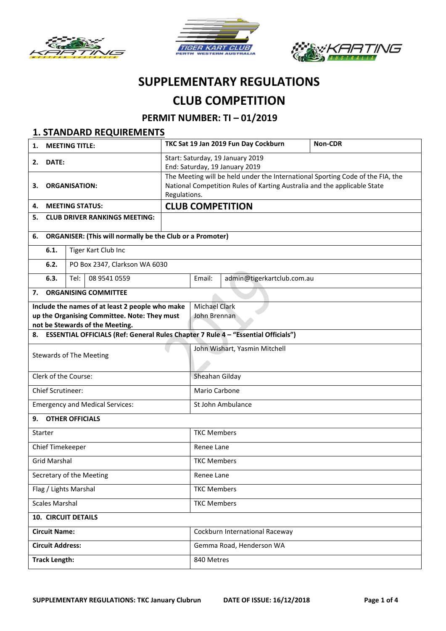





# **SUPPLEMENTARY REGULATIONS CLUB COMPETITION**

# **PERMIT NUMBER: TI – 01/2019**

|                                                        | <b>1. STANDARD REQUIREMENTS</b>                                                                                         |                                                                  |              |                                                                                                                  |                                  |                                                                          |  |  |  |
|--------------------------------------------------------|-------------------------------------------------------------------------------------------------------------------------|------------------------------------------------------------------|--------------|------------------------------------------------------------------------------------------------------------------|----------------------------------|--------------------------------------------------------------------------|--|--|--|
| <b>MEETING TITLE:</b><br>1.                            |                                                                                                                         |                                                                  |              | TKC Sat 19 Jan 2019 Fun Day Cockburn                                                                             | Non-CDR                          |                                                                          |  |  |  |
| DATE:<br>2.                                            |                                                                                                                         |                                                                  |              |                                                                                                                  | Start: Saturday, 19 January 2019 |                                                                          |  |  |  |
|                                                        |                                                                                                                         |                                                                  |              | End: Saturday, 19 January 2019<br>The Meeting will be held under the International Sporting Code of the FIA, the |                                  |                                                                          |  |  |  |
| <b>ORGANISATION:</b><br>З.                             |                                                                                                                         |                                                                  |              |                                                                                                                  |                                  | National Competition Rules of Karting Australia and the applicable State |  |  |  |
|                                                        |                                                                                                                         |                                                                  | Regulations. |                                                                                                                  |                                  |                                                                          |  |  |  |
| <b>MEETING STATUS:</b><br>4.                           |                                                                                                                         |                                                                  |              |                                                                                                                  | <b>CLUB COMPETITION</b>          |                                                                          |  |  |  |
| <b>CLUB DRIVER RANKINGS MEETING:</b><br>5.             |                                                                                                                         |                                                                  |              |                                                                                                                  |                                  |                                                                          |  |  |  |
| 6.                                                     |                                                                                                                         | <b>ORGANISER: (This will normally be the Club or a Promoter)</b> |              |                                                                                                                  |                                  |                                                                          |  |  |  |
|                                                        | 6.1.                                                                                                                    | Tiger Kart Club Inc                                              |              |                                                                                                                  |                                  |                                                                          |  |  |  |
|                                                        | 6.2.                                                                                                                    | PO Box 2347, Clarkson WA 6030                                    |              |                                                                                                                  |                                  |                                                                          |  |  |  |
|                                                        | 6.3.                                                                                                                    | 08 9541 0559<br>Tel:                                             |              | Email:                                                                                                           | admin@tigerkartclub.com.au       |                                                                          |  |  |  |
| 7.                                                     |                                                                                                                         | <b>ORGANISING COMMITTEE</b>                                      |              |                                                                                                                  |                                  |                                                                          |  |  |  |
| Include the names of at least 2 people who make        |                                                                                                                         |                                                                  |              | <b>Michael Clark</b>                                                                                             |                                  |                                                                          |  |  |  |
| up the Organising Committee. Note: They must           |                                                                                                                         |                                                                  |              | John Brennan                                                                                                     |                                  |                                                                          |  |  |  |
|                                                        | not be Stewards of the Meeting.<br>8. ESSENTIAL OFFICIALS (Ref: General Rules Chapter 7 Rule 4 - "Essential Officials") |                                                                  |              |                                                                                                                  |                                  |                                                                          |  |  |  |
|                                                        |                                                                                                                         |                                                                  |              | John Wishart, Yasmin Mitchell                                                                                    |                                  |                                                                          |  |  |  |
| <b>Stewards of The Meeting</b><br>Clerk of the Course: |                                                                                                                         |                                                                  |              |                                                                                                                  |                                  |                                                                          |  |  |  |
|                                                        |                                                                                                                         |                                                                  |              | Sheahan Gilday                                                                                                   |                                  |                                                                          |  |  |  |
|                                                        | <b>Chief Scrutineer:</b>                                                                                                |                                                                  |              | Mario Carbone                                                                                                    |                                  |                                                                          |  |  |  |
|                                                        |                                                                                                                         | <b>Emergency and Medical Services:</b>                           |              | St John Ambulance                                                                                                |                                  |                                                                          |  |  |  |
| 9.                                                     |                                                                                                                         | <b>OTHER OFFICIALS</b>                                           |              |                                                                                                                  |                                  |                                                                          |  |  |  |
|                                                        | Starter                                                                                                                 |                                                                  |              | <b>TKC Members</b>                                                                                               |                                  |                                                                          |  |  |  |
|                                                        | Chief Timekeeper                                                                                                        |                                                                  |              | Renee Lane                                                                                                       |                                  |                                                                          |  |  |  |
|                                                        | <b>Grid Marshal</b>                                                                                                     |                                                                  |              | <b>TKC Members</b>                                                                                               |                                  |                                                                          |  |  |  |
|                                                        |                                                                                                                         | Secretary of the Meeting                                         |              | Renee Lane                                                                                                       |                                  |                                                                          |  |  |  |
| Flag / Lights Marshal                                  |                                                                                                                         |                                                                  |              | <b>TKC Members</b>                                                                                               |                                  |                                                                          |  |  |  |
| <b>Scales Marshal</b>                                  |                                                                                                                         |                                                                  |              | <b>TKC Members</b>                                                                                               |                                  |                                                                          |  |  |  |
|                                                        |                                                                                                                         | <b>10. CIRCUIT DETAILS</b>                                       |              |                                                                                                                  |                                  |                                                                          |  |  |  |
| <b>Circuit Name:</b>                                   |                                                                                                                         |                                                                  |              | Cockburn International Raceway                                                                                   |                                  |                                                                          |  |  |  |
|                                                        | <b>Circuit Address:</b>                                                                                                 |                                                                  |              | Gemma Road, Henderson WA                                                                                         |                                  |                                                                          |  |  |  |
|                                                        | <b>Track Length:</b>                                                                                                    |                                                                  |              | 840 Metres                                                                                                       |                                  |                                                                          |  |  |  |
|                                                        |                                                                                                                         |                                                                  |              |                                                                                                                  |                                  |                                                                          |  |  |  |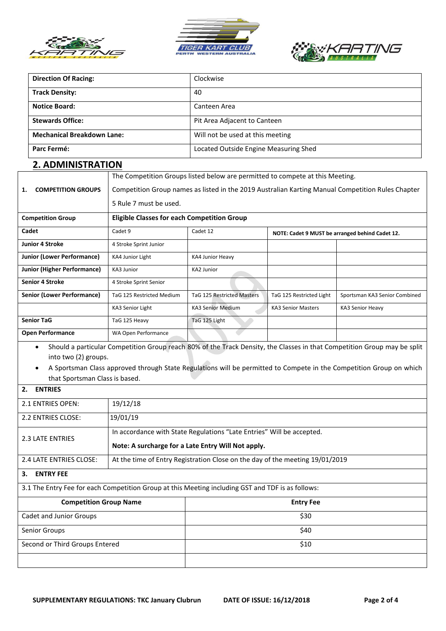





| <b>Direction Of Racing:</b>     |                                                                     | Clockwise                                                                                         |                                                                                                                                                                                                                                                 |                                       |                                                 |  |  |  |  |
|---------------------------------|---------------------------------------------------------------------|---------------------------------------------------------------------------------------------------|-------------------------------------------------------------------------------------------------------------------------------------------------------------------------------------------------------------------------------------------------|---------------------------------------|-------------------------------------------------|--|--|--|--|
|                                 | <b>Track Density:</b>                                               |                                                                                                   | 40                                                                                                                                                                                                                                              |                                       |                                                 |  |  |  |  |
|                                 | <b>Notice Board:</b>                                                |                                                                                                   | Canteen Area                                                                                                                                                                                                                                    |                                       |                                                 |  |  |  |  |
|                                 | <b>Stewards Office:</b>                                             |                                                                                                   |                                                                                                                                                                                                                                                 | Pit Area Adjacent to Canteen          |                                                 |  |  |  |  |
|                                 | <b>Mechanical Breakdown Lane:</b>                                   |                                                                                                   |                                                                                                                                                                                                                                                 | Will not be used at this meeting      |                                                 |  |  |  |  |
|                                 | Parc Fermé:                                                         |                                                                                                   |                                                                                                                                                                                                                                                 | Located Outside Engine Measuring Shed |                                                 |  |  |  |  |
| <b>2. ADMINISTRATION</b>        |                                                                     |                                                                                                   |                                                                                                                                                                                                                                                 |                                       |                                                 |  |  |  |  |
|                                 |                                                                     | The Competition Groups listed below are permitted to compete at this Meeting.                     |                                                                                                                                                                                                                                                 |                                       |                                                 |  |  |  |  |
| <b>COMPETITION GROUPS</b><br>1. |                                                                     | Competition Group names as listed in the 2019 Australian Karting Manual Competition Rules Chapter |                                                                                                                                                                                                                                                 |                                       |                                                 |  |  |  |  |
|                                 |                                                                     | 5 Rule 7 must be used.                                                                            |                                                                                                                                                                                                                                                 |                                       |                                                 |  |  |  |  |
|                                 | <b>Competition Group</b>                                            | <b>Eligible Classes for each Competition Group</b>                                                |                                                                                                                                                                                                                                                 |                                       |                                                 |  |  |  |  |
| Cadet                           |                                                                     | Cadet 9                                                                                           | Cadet 12                                                                                                                                                                                                                                        |                                       | NOTE: Cadet 9 MUST be arranged behind Cadet 12. |  |  |  |  |
|                                 | Junior 4 Stroke                                                     | 4 Stroke Sprint Junior                                                                            |                                                                                                                                                                                                                                                 |                                       |                                                 |  |  |  |  |
|                                 | <b>Junior (Lower Performance)</b>                                   | KA4 Junior Light                                                                                  | KA4 Junior Heavy                                                                                                                                                                                                                                |                                       |                                                 |  |  |  |  |
|                                 | <b>Junior (Higher Performance)</b>                                  | KA3 Junior                                                                                        | <b>KA2 Junior</b>                                                                                                                                                                                                                               |                                       |                                                 |  |  |  |  |
|                                 | <b>Senior 4 Stroke</b>                                              | 4 Stroke Sprint Senior                                                                            |                                                                                                                                                                                                                                                 |                                       |                                                 |  |  |  |  |
|                                 | <b>Senior (Lower Performance)</b>                                   | TaG 125 Restricted Medium                                                                         | <b>TaG 125 Restricted Masters</b>                                                                                                                                                                                                               | TaG 125 Restricted Light              | Sportsman KA3 Senior Combined                   |  |  |  |  |
|                                 |                                                                     | KA3 Senior Light                                                                                  | <b>KA3 Senior Medium</b>                                                                                                                                                                                                                        | <b>KA3 Senior Masters</b>             | KA3 Senior Heavy                                |  |  |  |  |
|                                 | <b>Senior TaG</b>                                                   | TaG 125 Heavy                                                                                     | TaG 125 Light                                                                                                                                                                                                                                   |                                       |                                                 |  |  |  |  |
|                                 | <b>Open Performance</b>                                             | WA Open Performance                                                                               |                                                                                                                                                                                                                                                 |                                       |                                                 |  |  |  |  |
|                                 | $\bullet$<br>into two (2) groups.<br>that Sportsman Class is based. |                                                                                                   | Should a particular Competition Group reach 80% of the Track Density, the Classes in that Competition Group may be split<br>A Sportsman Class approved through State Regulations will be permitted to Compete in the Competition Group on which |                                       |                                                 |  |  |  |  |
| 2.                              | <b>ENTRIES</b>                                                      |                                                                                                   |                                                                                                                                                                                                                                                 |                                       |                                                 |  |  |  |  |
| 2.1 ENTRIES OPEN:               |                                                                     | 19/12/18                                                                                          |                                                                                                                                                                                                                                                 |                                       |                                                 |  |  |  |  |
| 2.2 ENTRIES CLOSE:              |                                                                     | 19/01/19                                                                                          |                                                                                                                                                                                                                                                 |                                       |                                                 |  |  |  |  |
|                                 |                                                                     | In accordance with State Regulations "Late Entries" Will be accepted.                             |                                                                                                                                                                                                                                                 |                                       |                                                 |  |  |  |  |
|                                 | 2.3 LATE ENTRIES                                                    | Note: A surcharge for a Late Entry Will Not apply.                                                |                                                                                                                                                                                                                                                 |                                       |                                                 |  |  |  |  |
| 2.4 LATE ENTRIES CLOSE:         |                                                                     | At the time of Entry Registration Close on the day of the meeting 19/01/2019                      |                                                                                                                                                                                                                                                 |                                       |                                                 |  |  |  |  |
| <b>ENTRY FEE</b><br>3.          |                                                                     |                                                                                                   |                                                                                                                                                                                                                                                 |                                       |                                                 |  |  |  |  |
|                                 |                                                                     |                                                                                                   | 3.1 The Entry Fee for each Competition Group at this Meeting including GST and TDF is as follows:                                                                                                                                               |                                       |                                                 |  |  |  |  |
|                                 | <b>Competition Group Name</b>                                       |                                                                                                   | <b>Entry Fee</b>                                                                                                                                                                                                                                |                                       |                                                 |  |  |  |  |
| Cadet and Junior Groups         |                                                                     |                                                                                                   | \$30                                                                                                                                                                                                                                            |                                       |                                                 |  |  |  |  |
| Senior Groups                   |                                                                     |                                                                                                   | \$40                                                                                                                                                                                                                                            |                                       |                                                 |  |  |  |  |
| Second or Third Groups Entered  |                                                                     |                                                                                                   | \$10                                                                                                                                                                                                                                            |                                       |                                                 |  |  |  |  |
|                                 |                                                                     |                                                                                                   |                                                                                                                                                                                                                                                 |                                       |                                                 |  |  |  |  |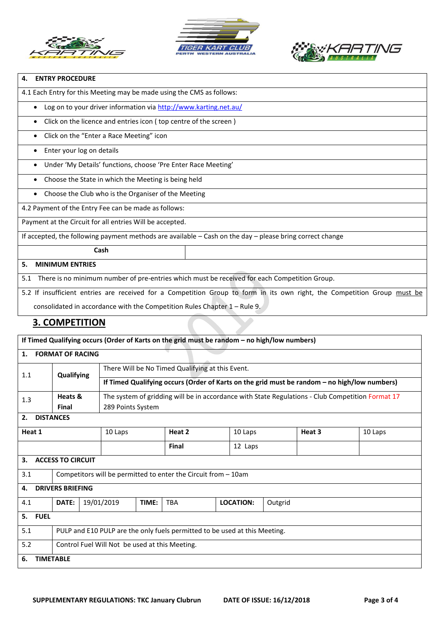





### **4. ENTRY PROCEDURE**

4.1 Each Entry for this Meeting may be made using the CMS as follows:

• Log on to your driver information via<http://www.karting.net.au/>

• Click on the licence and entries icon ( top centre of the screen )

Click on the "Enter a Race Meeting" icon

#### • Enter your log on details

Under 'My Details' functions, choose 'Pre Enter Race Meeting'

• Choose the State in which the Meeting is being held

• Choose the Club who is the Organiser of the Meeting

4.2 Payment of the Entry Fee can be made as follows:

Payment at the Circuit for all entries Will be accepted.

If accepted, the following payment methods are available – Cash on the day – please bring correct change

# **Cash**

#### **5. MINIMUM ENTRIES**

5.1 There is no minimum number of pre-entries which must be received for each Competition Group.

5.2 If insufficient entries are received for a Competition Group to form in its own right, the Competition Group must be

consolidated in accordance with the Competition Rules Chapter 1 – Rule 9.

## **3. COMPETITION**

| If Timed Qualifying occurs (Order of Karts on the grid must be random - no high/low numbers) |                                                                            |  |                                                                                                  |       |              |  |                             |  |        |         |  |
|----------------------------------------------------------------------------------------------|----------------------------------------------------------------------------|--|--------------------------------------------------------------------------------------------------|-------|--------------|--|-----------------------------|--|--------|---------|--|
| <b>FORMAT OF RACING</b><br>1.                                                                |                                                                            |  |                                                                                                  |       |              |  |                             |  |        |         |  |
| 1.1                                                                                          | Qualifying                                                                 |  | There Will be No Timed Qualifying at this Event.                                                 |       |              |  |                             |  |        |         |  |
|                                                                                              |                                                                            |  | If Timed Qualifying occurs (Order of Karts on the grid must be random - no high/low numbers)     |       |              |  |                             |  |        |         |  |
| 1.3                                                                                          | Heats &                                                                    |  | The system of gridding will be in accordance with State Regulations - Club Competition Format 17 |       |              |  |                             |  |        |         |  |
|                                                                                              | Final                                                                      |  | 289 Points System                                                                                |       |              |  |                             |  |        |         |  |
| <b>DISTANCES</b><br>2.                                                                       |                                                                            |  |                                                                                                  |       |              |  |                             |  |        |         |  |
| Heat 1                                                                                       |                                                                            |  | 10 Laps                                                                                          |       | Heat 2       |  | 10 Laps                     |  | Heat 3 | 10 Laps |  |
|                                                                                              |                                                                            |  |                                                                                                  |       | <b>Final</b> |  | 12 Laps                     |  |        |         |  |
| <b>ACCESS TO CIRCUIT</b><br>3.                                                               |                                                                            |  |                                                                                                  |       |              |  |                             |  |        |         |  |
| 3.1                                                                                          | Competitors will be permitted to enter the Circuit from - 10am             |  |                                                                                                  |       |              |  |                             |  |        |         |  |
| <b>DRIVERS BRIEFING</b><br>4.                                                                |                                                                            |  |                                                                                                  |       |              |  |                             |  |        |         |  |
| 4.1                                                                                          | DATE:                                                                      |  | 19/01/2019                                                                                       | TIME: | <b>TBA</b>   |  | <b>LOCATION:</b><br>Outgrid |  |        |         |  |
| 5. FUEL                                                                                      |                                                                            |  |                                                                                                  |       |              |  |                             |  |        |         |  |
| 5.1                                                                                          | PULP and E10 PULP are the only fuels permitted to be used at this Meeting. |  |                                                                                                  |       |              |  |                             |  |        |         |  |
| 5.2                                                                                          | Control Fuel Will Not be used at this Meeting.                             |  |                                                                                                  |       |              |  |                             |  |        |         |  |
| <b>TIMETABLE</b><br>6.                                                                       |                                                                            |  |                                                                                                  |       |              |  |                             |  |        |         |  |